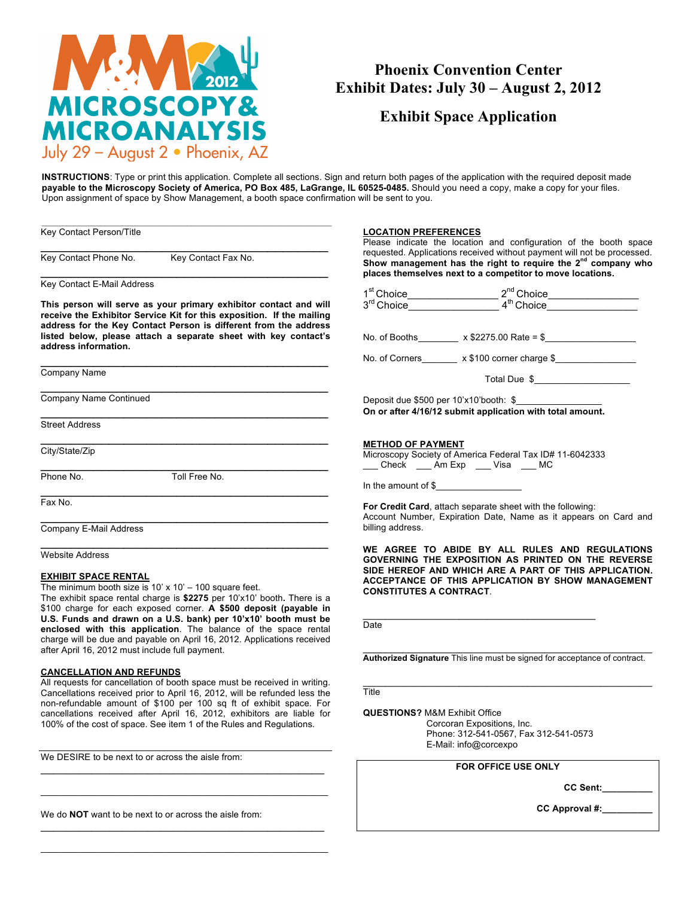

# **Phoenix Convention Center Exhibit Dates: July 30 – August 2, 2012**

**Exhibit Space Application**

**INSTRUCTIONS**: Type or print this application. Complete all sections. Sign and return both pages of the application with the required deposit made **payable to the Microscopy Society of America, PO Box 485, LaGrange, IL 60525-0485.** Should you need a copy, make a copy for your files. Upon assignment of space by Show Management, a booth space confirmation will be sent to you.

Key Contact Person/Title

 $\mathcal{L}_\text{max}$  and  $\mathcal{L}_\text{max}$  and  $\mathcal{L}_\text{max}$  and  $\mathcal{L}_\text{max}$ Key Contact Phone No. Key Contact Fax No.

 $\mathcal{L}_\text{max}$  , where  $\mathcal{L}_\text{max}$  and  $\mathcal{L}_\text{max}$  and  $\mathcal{L}_\text{max}$ Key Contact E-Mail Address

**This person will serve as your primary exhibitor contact and will receive the Exhibitor Service Kit for this exposition. If the mailing address for the Key Contact Person is different from the address listed below, please attach a separate sheet with key contact's address information.**

 $\mathcal{L}_\text{max}$  and  $\mathcal{L}_\text{max}$  and  $\mathcal{L}_\text{max}$  and  $\mathcal{L}_\text{max}$ 

 $\mathcal{L}_\text{max}$  , where  $\mathcal{L}_\text{max}$  and  $\mathcal{L}_\text{max}$  and  $\mathcal{L}_\text{max}$ 

 $\mathcal{L}_\text{max}$  and  $\mathcal{L}_\text{max}$  and  $\mathcal{L}_\text{max}$  and  $\mathcal{L}_\text{max}$ 

Company Name

Company Name Continued

Street Address

 $\mathcal{L}_\text{max}$  , where  $\mathcal{L}_\text{max}$  and  $\mathcal{L}_\text{max}$  and  $\mathcal{L}_\text{max}$ City/State/Zip

 $\mathcal{L}_\text{max}$  and  $\mathcal{L}_\text{max}$  and  $\mathcal{L}_\text{max}$  and  $\mathcal{L}_\text{max}$ Phone No. Toll Free No.

 $\mathcal{L}_\text{max}$  , where  $\mathcal{L}_\text{max}$  and  $\mathcal{L}_\text{max}$  and  $\mathcal{L}_\text{max}$ 

Fax No.

 $\mathcal{L}_\text{max}$  and  $\mathcal{L}_\text{max}$  and  $\mathcal{L}_\text{max}$  and  $\mathcal{L}_\text{max}$ Company E-Mail Address

 $\mathcal{L}_\text{max}$  , where  $\mathcal{L}_\text{max}$  and  $\mathcal{L}_\text{max}$  and  $\mathcal{L}_\text{max}$ Website Address

### **EXHIBIT SPACE RENTAL**

The minimum booth size is  $10' \times 10' - 100$  square feet.

The exhibit space rental charge is **\$2275** per 10'x10' booth**.** There is a \$100 charge for each exposed corner. **A \$500 deposit (payable in U.S. Funds and drawn on a U.S. bank) per 10'x10' booth must be enclosed with this application**. The balance of the space rental charge will be due and payable on April 16, 2012. Applications received after April 16, 2012 must include full payment.

## **CANCELLATION AND REFUNDS**

All requests for cancellation of booth space must be received in writing. Cancellations received prior to April 16, 2012, will be refunded less the non-refundable amount of \$100 per 100 sq ft of exhibit space. For cancellations received after April 16, 2012, exhibitors are liable for 100% of the cost of space. See item 1 of the Rules and Regulations.

 $\mathcal{L}_\text{max}$  , and the set of the set of the set of the set of the set of the set of the set of the set of the set of the set of the set of the set of the set of the set of the set of the set of the set of the set of the \_\_\_\_\_\_\_\_\_\_\_\_\_\_\_\_\_\_\_\_\_\_\_\_\_\_\_\_\_\_\_\_\_\_\_\_\_\_\_\_\_\_\_\_\_\_\_\_\_\_\_\_\_\_\_\_\_

 $\mathcal{L}_\text{max}$  , and the set of the set of the set of the set of the set of the set of the set of the set of the set of the set of the set of the set of the set of the set of the set of the set of the set of the set of the \_\_\_\_\_\_\_\_\_\_\_\_\_\_\_\_\_\_\_\_\_\_\_\_\_\_\_\_\_\_\_\_\_\_\_\_\_\_\_\_\_\_\_\_\_\_\_\_\_\_\_\_\_\_\_\_\_

We DESIRE to be next to or across the aisle from:

We do **NOT** want to be next to or across the aisle from:

#### **LOCATION PREFERENCES**

Please indicate the location and configuration of the booth space requested. Applications received without payment will not be processed. **Show management has the right to require the 2nd company who places themselves next to a competitor to move locations.**

|                                                                 | $1^{\text{st}}$ Choice $2^{\text{nd}}$ Choice $2^{\text{nd}}$ Choice $2^{\text{nd}}$ Choice $2^{\text{nd}}$ Choice $2^{\text{nd}}$ Choice $2^{\text{nd}}$ Choice $2^{\text{nd}}$ Choice $2^{\text{nd}}$ Choice $2^{\text{nd}}$ Choice $2^{\text{nd}}$ Choice $2^{\text{nd}}$ Choice $2^{\text{nd}}$ Choice |
|-----------------------------------------------------------------|------------------------------------------------------------------------------------------------------------------------------------------------------------------------------------------------------------------------------------------------------------------------------------------------------------|
|                                                                 |                                                                                                                                                                                                                                                                                                            |
|                                                                 |                                                                                                                                                                                                                                                                                                            |
|                                                                 | No. of Corners_________ x \$100 corner charge \$_______________                                                                                                                                                                                                                                            |
|                                                                 |                                                                                                                                                                                                                                                                                                            |
|                                                                 |                                                                                                                                                                                                                                                                                                            |
|                                                                 | On or after 4/16/12 submit application with total amount.                                                                                                                                                                                                                                                  |
| <b>METHOD OF PAYMENT</b><br>Check ____ Am Exp ____ Visa ____ MC | Microscopy Society of America Federal Tax ID# 11-6042333                                                                                                                                                                                                                                                   |
| In the amount of $\frac{1}{2}$                                  |                                                                                                                                                                                                                                                                                                            |
| billing address.                                                | For Credit Card, attach separate sheet with the following:<br>Account Number, Expiration Date, Name as it appears on Card and                                                                                                                                                                              |
|                                                                 | WE AGREE TO ABIDE BY ALL RULES AND REGULATIONS<br>GOVERNING THE EXPOSITION AS PRINTED ON THE REVERSE<br>SIDE HEREOF AND WHICH ARE A PART OF THIS APPLICATION.                                                                                                                                              |

**Date** 

**CONSTITUTES A CONTRACT**.

 $\mathcal{L}_\text{max}$  , and the set of the set of the set of the set of the set of the set of the set of the set of the set of the set of the set of the set of the set of the set of the set of the set of the set of the set of the **Authorized Signature** This line must be signed for acceptance of contract.

 $\mathcal{L}_\text{max}$  , and the set of the set of the set of the set of the set of the set of the set of the set of the set of the set of the set of the set of the set of the set of the set of the set of the set of the set of the

**ACCEPTANCE OF THIS APPLICATION BY SHOW MANAGEMENT** 

**Title** 

**QUESTIONS?** M&M Exhibit Office Corcoran Expositions, Inc. Phone: 312-541-0567, Fax 312-541-0573 E-Mail: info@corcexpo

\_\_\_\_\_\_\_\_\_\_\_\_\_\_\_\_\_\_\_\_\_\_\_\_\_\_\_\_\_\_\_\_\_\_\_\_\_\_\_\_\_

# **FOR OFFICE USE ONLY**

**CC Sent:\_\_\_\_\_\_\_\_\_\_**

**CC Approval #:\_\_\_\_\_\_\_\_\_\_**